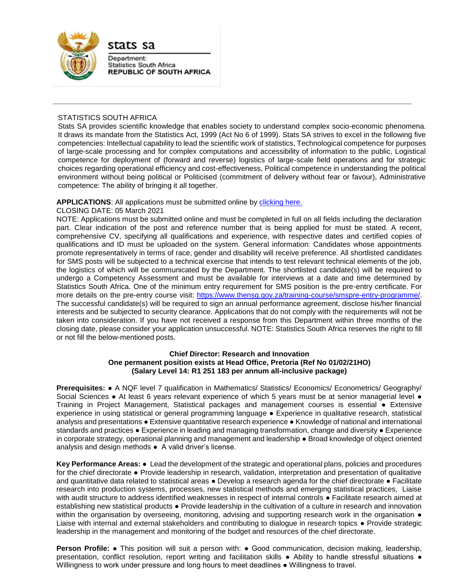

stats sa

Department: **Statistics South Africa REPUBLIC OF SOUTH AFRICA** 

## STATISTICS SOUTH AFRICA

Stats SA provides scientific knowledge that enables society to understand complex socio-economic phenomena. It draws its mandate from the Statistics Act, 1999 (Act No 6 of 1999). Stats SA strives to excel in the following five competencies: Intellectual capability to lead the scientific work of statistics, Technological competence for purposes of large-scale processing and for complex computations and accessibility of information to the public, Logistical competence for deployment of (forward and reverse) logistics of large-scale field operations and for strategic choices regarding operational efficiency and cost-effectiveness, Political competence in understanding the political environment without being political or Politicised (commitment of delivery without fear or favour), Administrative competence: The ability of bringing it all together.

**\_\_\_\_\_\_\_\_\_\_\_\_\_\_\_\_\_\_\_\_\_\_\_\_\_\_\_\_\_\_\_\_\_\_\_\_\_\_\_\_\_\_\_\_\_\_\_\_\_\_\_\_\_\_\_\_\_\_\_\_\_\_\_\_\_\_\_\_\_\_\_\_\_\_\_\_\_\_\_\_**

## APPLICATIONS: All applications must be submitted online by [clicking here.](https://apps.statssa.gov.za/erecruitment/#/browseJobs)

### CLOSING DATE: 05 March 2021

NOTE: Applications must be submitted online and must be completed in full on all fields including the declaration part. Clear indication of the post and reference number that is being applied for must be stated. A recent, comprehensive CV, specifying all qualifications and experience, with respective dates and certified copies of qualifications and ID must be uploaded on the system. General information: Candidates whose appointments promote representatively in terms of race, gender and disability will receive preference. All shortlisted candidates for SMS posts will be subjected to a technical exercise that intends to test relevant technical elements of the job, the logistics of which will be communicated by the Department. The shortlisted candidate(s) will be required to undergo a Competency Assessment and must be available for interviews at a date and time determined by Statistics South Africa. One of the minimum entry requirement for SMS position is the pre-entry certificate. For more details on the pre-entry course visit: [https://www.thensg.gov.za/training-course/smspre-entry-programme/.](https://www.thensg.gov.za/training-course/smspre-entry-programme/) The successful candidate(s) will be required to sign an annual performance agreement, disclose his/her financial interests and be subjected to security clearance. Applications that do not comply with the requirements will not be taken into consideration. If you have not received a response from this Department within three months of the closing date, please consider your application unsuccessful. NOTE: Statistics South Africa reserves the right to fill or not fill the below-mentioned posts.

### **Chief Director: Research and Innovation One permanent position exists at Head Office, Pretoria (Ref No 01/02/21HO) (Salary Level 14: R1 251 183 per annum all-inclusive package)**

**Prerequisites: ● A NQF level 7 qualification in Mathematics/ Statistics/ Economics/ Econometrics/ Geography/** Social Sciences • At least 6 years relevant experience of which 5 years must be at senior managerial level • Training in Project Management, Statistical packages and management courses is essential ● Extensive experience in using statistical or general programming language ● Experience in qualitative research, statistical analysis and presentations ● Extensive quantitative research experience ● Knowledge of national and international standards and practices ● Experience in leading and managing transformation, change and diversity ● Experience in corporate strategy, operational planning and management and leadership ● Broad knowledge of object oriented analysis and design methods ● A valid driver's license.

**Key Performance Areas:** ● Lead the development of the strategic and operational plans, policies and procedures for the chief directorate • Provide leadership in research, validation, interpretation and presentation of qualitative and quantitative data related to statistical areas ● Develop a research agenda for the chief directorate ● Facilitate research into production systems, processes, new statistical methods and emerging statistical practices, Liaise with audit structure to address identified weaknesses in respect of internal controls ● Facilitate research aimed at establishing new statistical products ● Provide leadership in the cultivation of a culture in research and innovation within the organisation by overseeing, monitoring, advising and supporting research work in the organisation  $\bullet$ Liaise with internal and external stakeholders and contributing to dialogue in research topics ● Provide strategic leadership in the management and monitoring of the budget and resources of the chief directorate.

**Person Profile: •** This position will suit a person with: • Good communication, decision making, leadership, presentation, conflict resolution, report writing and facilitation skills ● Ability to handle stressful situations ● Willingness to work under pressure and long hours to meet deadlines ● Willingness to travel.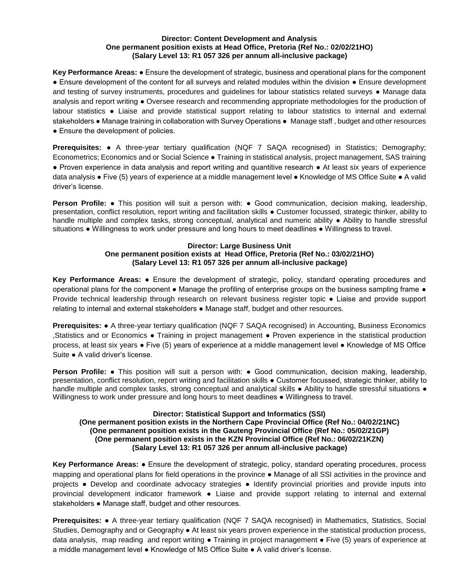### **Director: Content Development and Analysis One permanent position exists at Head Office, Pretoria (Ref No.: 02/02/21HO) (Salary Level 13: R1 057 326 per annum all-inclusive package)**

**Key Performance Areas:** ● Ensure the development of strategic, business and operational plans for the component ● Ensure development of the content for all surveys and related modules within the division ● Ensure development and testing of survey instruments, procedures and guidelines for labour statistics related surveys • Manage data analysis and report writing ● Oversee research and recommending appropriate methodologies for the production of labour statistics ● Liaise and provide statistical support relating to labour statistics to internal and external stakeholders ● Manage training in collaboration with Survey Operations ● Manage staff , budget and other resources • Ensure the development of policies.

**Prerequisites:** ● A three-year tertiary qualification (NQF 7 SAQA recognised) in Statistics; Demography; Econometrics; Economics and or Social Science ● Training in statistical analysis, project management, SAS training ● Proven experience in data analysis and report writing and quantitive research ● At least six years of experience data analysis ● Five (5) years of experience at a middle management level ● Knowledge of MS Office Suite ● A valid driver's license.

**Person Profile: •** This position will suit a person with: • Good communication, decision making, leadership, presentation, conflict resolution, report writing and facilitation skills ● Customer focussed, strategic thinker, ability to handle multiple and complex tasks, strong conceptual, analytical and numeric ability ● Ability to handle stressful situations ● Willingness to work under pressure and long hours to meet deadlines ● Willingness to travel.

## **Director: Large Business Unit One permanent position exists at Head Office, Pretoria (Ref No.: 03/02/21HO) (Salary Level 13: R1 057 326 per annum all-inclusive package)**

**Key Performance Areas:** ● Ensure the development of strategic, policy, standard operating procedures and operational plans for the component • Manage the profiling of enterprise groups on the business sampling frame • Provide technical leadership through research on relevant business register topic ● Liaise and provide support relating to internal and external stakeholders ● Manage staff, budget and other resources.

**Prerequisites: ●** A three-year tertiary qualification (NQF 7 SAQA recognised) in Accounting, Business Economics ,Statistics and or Economics ● Training in project management ● Proven experience in the statistical production process, at least six years • Five (5) years of experience at a middle management level • Knowledge of MS Office Suite ● A valid driver's license.

**Person Profile: •** This position will suit a person with: • Good communication, decision making, leadership, presentation, conflict resolution, report writing and facilitation skills ● Customer focussed, strategic thinker, ability to handle multiple and complex tasks, strong conceptual and analytical skills • Ability to handle stressful situations • Willingness to work under pressure and long hours to meet deadlines ● Willingness to travel.

## **Director: Statistical Support and Informatics (SSI) (One permanent position exists in the Northern Cape Provincial Office (Ref No.: 04/02/21NC) (One permanent position exists in the Gauteng Provincial Office (Ref No.: 05/02/21GP) (One permanent position exists in the KZN Provincial Office (Ref No.: 06/02/21KZN) (Salary Level 13: R1 057 326 per annum all-inclusive package)**

**Key Performance Areas:** ● Ensure the development of strategic, policy, standard operating procedures, process mapping and operational plans for field operations in the province ● Manage of all SSI activities in the province and projects ● Develop and coordinate advocacy strategies ● Identify provincial priorities and provide inputs into provincial development indicator framework ● Liaise and provide support relating to internal and external stakeholders • Manage staff, budget and other resources.

**Prerequisites:** ● A three-year tertiary qualification (NQF 7 SAQA recognised) in Mathematics, Statistics, Social Studies, Demography and or Geography ● At least six years proven experience in the statistical production process, data analysis, map reading and report writing • Training in project management • Five (5) years of experience at a middle management level ● Knowledge of MS Office Suite ● A valid driver's license.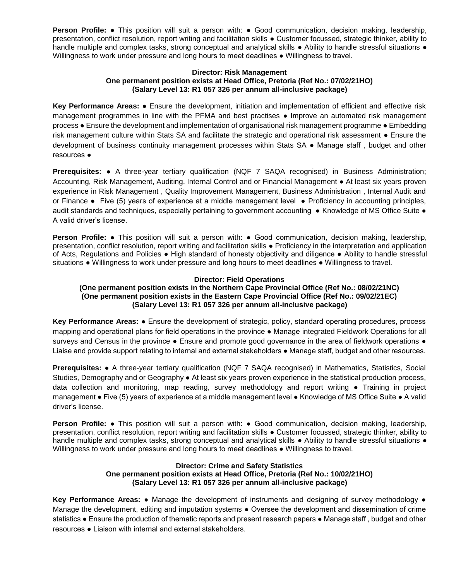**Person Profile: •** This position will suit a person with: • Good communication, decision making, leadership, presentation, conflict resolution, report writing and facilitation skills ● Customer focussed, strategic thinker, ability to handle multiple and complex tasks, strong conceptual and analytical skills • Ability to handle stressful situations • Willingness to work under pressure and long hours to meet deadlines ● Willingness to travel.

#### **Director: Risk Management One permanent position exists at Head Office, Pretoria (Ref No.: 07/02/21HO) (Salary Level 13: R1 057 326 per annum all-inclusive package)**

**Key Performance Areas:** ● Ensure the development, initiation and implementation of efficient and effective risk management programmes in line with the PFMA and best practises ● Improve an automated risk management process ● Ensure the development and implementation of organisational risk management programme ● Embedding risk management culture within Stats SA and facilitate the strategic and operational risk assessment ● Ensure the development of business continuity management processes within Stats SA ● Manage staff , budget and other resources ●

**Prerequisites:** ● A three-year tertiary qualification (NQF 7 SAQA recognised) in Business Administration; Accounting, Risk Management, Auditing, Internal Control and or Financial Management ● At least six years proven experience in Risk Management , Quality Improvement Management, Business Administration , Internal Audit and or Finance ● Five (5) years of experience at a middle management level ● Proficiency in accounting principles, audit standards and techniques, especially pertaining to government accounting ● Knowledge of MS Office Suite ● A valid driver's license.

**Person Profile: •** This position will suit a person with: • Good communication, decision making, leadership, presentation, conflict resolution, report writing and facilitation skills ● Proficiency in the interpretation and application of Acts, Regulations and Policies ● High standard of honesty objectivity and diligence ● Ability to handle stressful situations ● Willingness to work under pressure and long hours to meet deadlines ● Willingness to travel.

## **Director: Field Operations**

# **(One permanent position exists in the Northern Cape Provincial Office (Ref No.: 08/02/21NC) (One permanent position exists in the Eastern Cape Provincial Office (Ref No.: 09/02/21EC) (Salary Level 13: R1 057 326 per annum all-inclusive package)**

**Key Performance Areas:** ● Ensure the development of strategic, policy, standard operating procedures, process mapping and operational plans for field operations in the province ● Manage integrated Fieldwork Operations for all surveys and Census in the province • Ensure and promote good governance in the area of fieldwork operations • Liaise and provide support relating to internal and external stakeholders ● Manage staff, budget and other resources.

**Prerequisites:** ● A three-year tertiary qualification (NQF 7 SAQA recognised) in Mathematics, Statistics, Social Studies, Demography and or Geography ● At least six years proven experience in the statistical production process, data collection and monitoring, map reading, survey methodology and report writing ● Training in project management ● Five (5) years of experience at a middle management level ● Knowledge of MS Office Suite ● A valid driver's license.

**Person Profile: •** This position will suit a person with: • Good communication, decision making, leadership, presentation, conflict resolution, report writing and facilitation skills ● Customer focussed, strategic thinker, ability to handle multiple and complex tasks, strong conceptual and analytical skills • Ability to handle stressful situations • Willingness to work under pressure and long hours to meet deadlines ● Willingness to travel.

## **Director: Crime and Safety Statistics One permanent position exists at Head Office, Pretoria (Ref No.: 10/02/21HO) (Salary Level 13: R1 057 326 per annum all-inclusive package)**

**Key Performance Areas:** ● Manage the development of instruments and designing of survey methodology ● Manage the development, editing and imputation systems ● Oversee the development and dissemination of crime statistics ● Ensure the production of thematic reports and present research papers ● Manage staff , budget and other resources ● Liaison with internal and external stakeholders.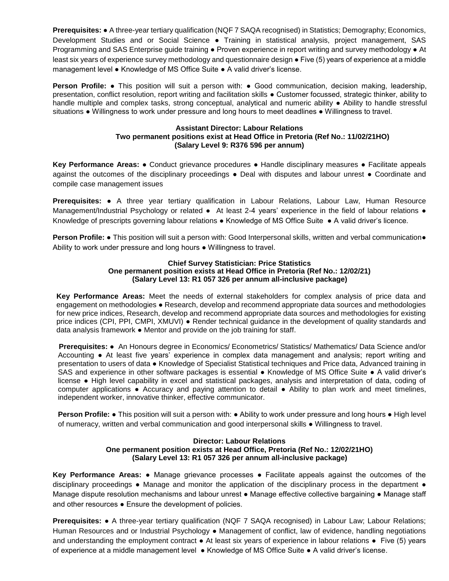**Prerequisites:** ● A three-year tertiary qualification (NQF 7 SAQA recognised) in Statistics; Demography; Economics, Development Studies and or Social Science ● Training in statistical analysis, project management, SAS Programming and SAS Enterprise guide training ● Proven experience in report writing and survey methodology ● At least six years of experience survey methodology and questionnaire design ● Five (5) years of experience at a middle management level ● Knowledge of MS Office Suite ● A valid driver's license.

**Person Profile: •** This position will suit a person with: • Good communication, decision making, leadership, presentation, conflict resolution, report writing and facilitation skills ● Customer focussed, strategic thinker, ability to handle multiple and complex tasks, strong conceptual, analytical and numeric ability ● Ability to handle stressful situations ● Willingness to work under pressure and long hours to meet deadlines ● Willingness to travel.

## **Assistant Director: Labour Relations Two permanent positions exist at Head Office in Pretoria (Ref No.: 11/02/21HO) (Salary Level 9: R376 596 per annum)**

**Key Performance Areas:** ● Conduct grievance procedures ● Handle disciplinary measures ● Facilitate appeals against the outcomes of the disciplinary proceedings ● Deal with disputes and labour unrest ● Coordinate and compile case management issues

**Prerequisites:** ● A three year tertiary qualification in Labour Relations, Labour Law, Human Resource Management/Industrial Psychology or related • At least 2-4 years' experience in the field of labour relations • Knowledge of prescripts governing labour relations ● Knowledge of MS Office Suite ● A valid driver's licence.

**Person Profile: ●** This position will suit a person with: Good Interpersonal skills, written and verbal communication● Ability to work under pressure and long hours ● Willingness to travel.

#### **Chief Survey Statistician: Price Statistics One permanent position exists at Head Office in Pretoria (Ref No.: 12/02/21) (Salary Level 13: R1 057 326 per annum all-inclusive package)**

**Key Performance Areas:** Meet the needs of external stakeholders for complex analysis of price data and engagement on methodologies • Research, develop and recommend appropriate data sources and methodologies for new price indices, Research, develop and recommend appropriate data sources and methodologies for existing price indices (CPI, PPI, CMPI, XMUVI) ● Render technical guidance in the development of quality standards and data analysis framework ● Mentor and provide on the job training for staff.

 **Prerequisites:** ● An Honours degree in Economics/ Econometrics/ Statistics/ Mathematics/ Data Science and/or Accounting ● At least five years' experience in complex data management and analysis; report writing and presentation to users of data ● Knowledge of Specialist Statistical techniques and Price data, Advanced training in SAS and experience in other software packages is essential • Knowledge of MS Office Suite • A valid driver's license ● High level capability in excel and statistical packages, analysis and interpretation of data, coding of computer applications ● Accuracy and paying attention to detail ● Ability to plan work and meet timelines, independent worker, innovative thinker, effective communicator.

**Person Profile: •** This position will suit a person with: • Ability to work under pressure and long hours • High level of numeracy, written and verbal communication and good interpersonal skills ● Willingness to travel.

## **Director: Labour Relations One permanent position exists at Head Office, Pretoria (Ref No.: 12/02/21HO) (Salary Level 13: R1 057 326 per annum all-inclusive package)**

**Key Performance Areas:** ● Manage grievance processes ● Facilitate appeals against the outcomes of the disciplinary proceedings • Manage and monitor the application of the disciplinary process in the department • Manage dispute resolution mechanisms and labour unrest ● Manage effective collective bargaining ● Manage staff and other resources • Ensure the development of policies.

**Prerequisites:** ● A three-year tertiary qualification (NQF 7 SAQA recognised) in Labour Law; Labour Relations; Human Resources and or Industrial Psychology ● Management of conflict, law of evidence, handling negotiations and understanding the employment contract ● At least six years of experience in labour relations ● Five (5) years of experience at a middle management level ● Knowledge of MS Office Suite ● A valid driver's license.